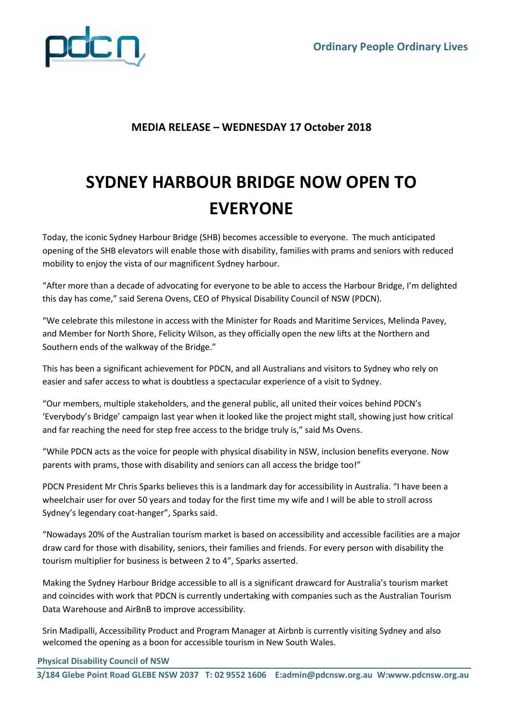

## **MEDIA RELEASE – WEDNESDAY 17 October 2018**

## **SYDNEY HARBOUR BRIDGE NOW OPEN TO EVERYONE**

Today, the iconic Sydney Harbour Bridge (SHB) becomes accessible to everyone. The much anticipated opening of the SHB elevators will enable those with disability, families with prams and seniors with reduced mobility to enjoy the vista of our magnificent Sydney harbour.

"After more than a decade of advocating for everyone to be able to access the Harbour Bridge, I'm delighted this day has come," said Serena Ovens, CEO of Physical Disability Council of NSW (PDCN).

"We celebrate this milestone in access with the Minister for Roads and Maritime Services, Melinda Pavey, and Member for North Shore, Felicity Wilson, as they officially open the new lifts at the Northern and Southern ends of the walkway of the Bridge."

This has been a significant achievement for PDCN, and all Australians and visitors to Sydney who rely on easier and safer access to what is doubtless a spectacular experience of a visit to Sydney.

"Our members, multiple stakeholders, and the general public, all united their voices behind PDCN's 'Everybody's Bridge' campaign last year when it looked like the project might stall, showing just how critical and far reaching the need for step free access to the bridge truly is," said Ms Ovens.

"While PDCN acts as the voice for people with physical disability in NSW, inclusion benefits everyone. Now parents with prams, those with disability and seniors can all access the bridge too!"

PDCN President Mr Chris Sparks believes this is a landmark day for accessibility in Australia. "I have been a wheelchair user for over 50 years and today for the first time my wife and I will be able to stroll across Sydney's legendary coat-hanger", Sparks said.

"Nowadays 20% of the Australian tourism market is based on accessibility and accessible facilities are a major draw card for those with disability, seniors, their families and friends. For every person with disability the tourism multiplier for business is between 2 to 4", Sparks asserted.

Making the Sydney Harbour Bridge accessible to all is a significant drawcard for Australia's tourism market and coincides with work that PDCN is currently undertaking with companies such as the Australian Tourism Data Warehouse and AirBnB to improve accessibility.

Srin Madipalli, Accessibility Product and Program Manager at Airbnb is currently visiting Sydney and also welcomed the opening as a boon for accessible tourism in New South Wales.

 **Physical Disability Council of NSW**